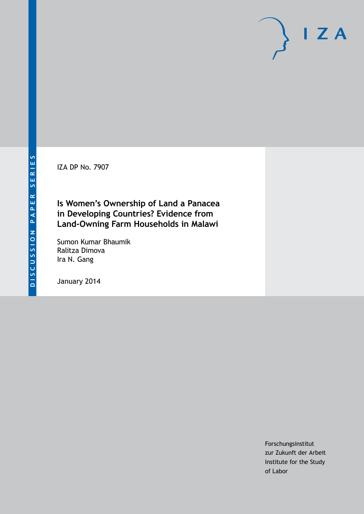IZA DP No. 7907

# **Is Women's Ownership of Land a Panacea in Developing Countries? Evidence from Land-Owning Farm Households in Malawi**

Sumon Kumar Bhaumik Ralitza Dimova Ira N. Gang

January 2014

Forschungsinstitut zur Zukunft der Arbeit Institute for the Study of Labor

 $I Z A$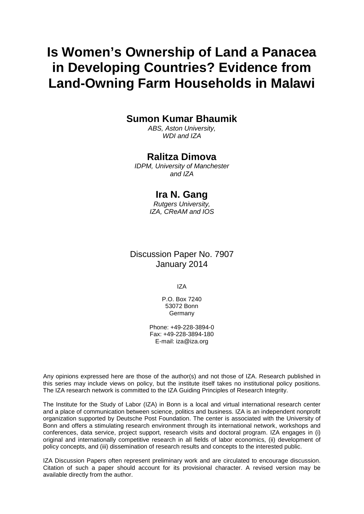# **Is Women's Ownership of Land a Panacea in Developing Countries? Evidence from Land-Owning Farm Households in Malawi**

## **Sumon Kumar Bhaumik**

*ABS, Aston University, WDI and IZA*

### **Ralitza Dimova**

*IDPM, University of Manchester and IZA*

### **Ira N. Gang**

*Rutgers University, IZA, CReAM and IOS*

## Discussion Paper No. 7907 January 2014

IZA

P.O. Box 7240 53072 Bonn Germany

Phone: +49-228-3894-0 Fax: +49-228-3894-180 E-mail: [iza@iza.org](mailto:iza@iza.org)

Any opinions expressed here are those of the author(s) and not those of IZA. Research published in this series may include views on policy, but the institute itself takes no institutional policy positions. The IZA research network is committed to the IZA Guiding Principles of Research Integrity.

The Institute for the Study of Labor (IZA) in Bonn is a local and virtual international research center and a place of communication between science, politics and business. IZA is an independent nonprofit organization supported by Deutsche Post Foundation. The center is associated with the University of Bonn and offers a stimulating research environment through its international network, workshops and conferences, data service, project support, research visits and doctoral program. IZA engages in (i) original and internationally competitive research in all fields of labor economics, (ii) development of policy concepts, and (iii) dissemination of research results and concepts to the interested public.

<span id="page-1-0"></span>IZA Discussion Papers often represent preliminary work and are circulated to encourage discussion. Citation of such a paper should account for its provisional character. A revised version may be available directly from the author.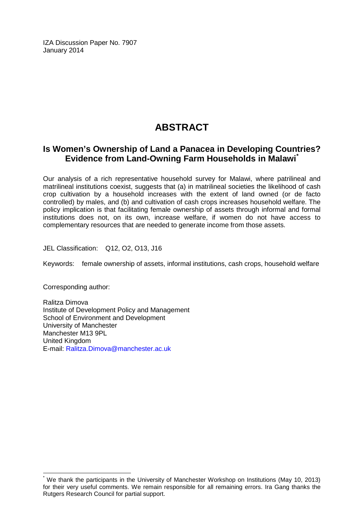IZA Discussion Paper No. 7907 January 2014

# **ABSTRACT**

### **Is Women's Ownership of Land a Panacea in Developing Countries? Evidence from Land-Owning Farm Households in Malawi[\\*](#page-1-0)**

Our analysis of a rich representative household survey for Malawi, where patrilineal and matrilineal institutions coexist, suggests that (a) in matrilineal societies the likelihood of cash crop cultivation by a household increases with the extent of land owned (or de facto controlled) by males, and (b) and cultivation of cash crops increases household welfare. The policy implication is that facilitating female ownership of assets through informal and formal institutions does not, on its own, increase welfare, if women do not have access to complementary resources that are needed to generate income from those assets.

JEL Classification: Q12, O2, O13, J16

Keywords: female ownership of assets, informal institutions, cash crops, household welfare

Corresponding author:

Ralitza Dimova Institute of Development Policy and Management School of Environment and Development University of Manchester Manchester M13 9PL United Kingdom E-mail: [Ralitza.Dimova@manchester.ac.uk](mailto:Ralitza.Dimova@manchester.ac.uk)

We thank the participants in the University of Manchester Workshop on Institutions (May 10, 2013) for their very useful comments. We remain responsible for all remaining errors. Ira Gang thanks the Rutgers Research Council for partial support.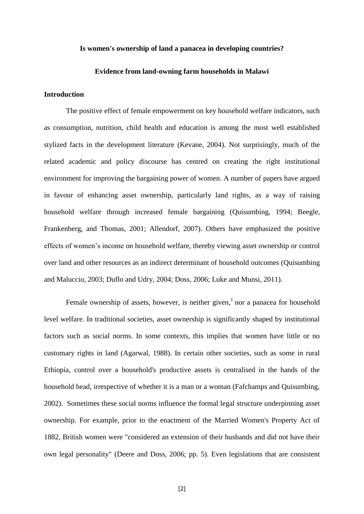#### **Is women's ownership of land a panacea in developing countries?**

#### **Evidence from land-owning farm households in Malawi**

#### **Introduction**

The positive effect of female empowerment on key household welfare indicators, such as consumption, nutrition, child health and education is among the most well established stylized facts in the development literature (Kevane, 2004). Not surprisingly, much of the related academic and policy discourse has centred on creating the right institutional environment for improving the bargaining power of women. A number of papers have argued in favour of enhancing asset ownership, particularly land rights, as a way of raising household welfare through increased female bargaining (Quisumbing, 1994; Beegle, Frankenberg, and Thomas, 2001; Allendorf, 2007). Others have emphasized the positive effects of women's income on household welfare, thereby viewing asset ownership or control over land and other resources as an indirect determinant of household outcomes (Quisumbing and Maluccio, 2003; Duflo and Udry, 2004; Doss, 2006; Luke and Munsi, 2011).

Female ownership of assets, however, is neither given,  $\frac{1}{1}$  nor a panacea for household level welfare. In traditional societies, asset ownership is significantly shaped by institutional factors such as social norms. In some contexts, this implies that women have little or no customary rights in land (Agarwal, 1988). In certain other societies, such as some in rural Ethiopia, control over a household's productive assets is centralised in the hands of the household head, irrespective of whether it is a man or a woman (Fafchamps and Quisumbing, 2002). Sometimes these social norms influence the formal legal structure underpinning asset ownership. For example, prior to the enactment of the Married Women's Property Act of 1882, British women were "considered an extension of their husbands and did not have their own legal personality" (Deere and Doss, 2006; pp. 5). Even legislations that are consistent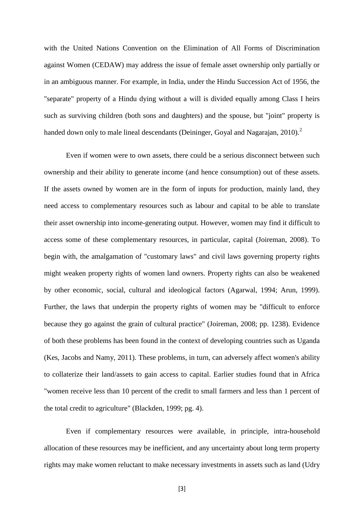with the United Nations Convention on the Elimination of All Forms of Discrimination against Women (CEDAW) may address the issue of female asset ownership only partially or in an ambiguous manner. For example, in India, under the Hindu Succession Act of 1956, the "separate" property of a Hindu dying without a will is divided equally among Class I heirs such as surviving children (both sons and daughters) and the spouse, but "joint" property is handed down only to male lineal descendants (Deininger, Goyal and Nagarajan, 2010).<sup>2</sup>

Even if women were to own assets, there could be a serious disconnect between such ownership and their ability to generate income (and hence consumption) out of these assets. If the assets owned by women are in the form of inputs for production, mainly land, they need access to complementary resources such as labour and capital to be able to translate their asset ownership into income-generating output. However, women may find it difficult to access some of these complementary resources, in particular, capital (Joireman, 2008). To begin with, the amalgamation of "customary laws" and civil laws governing property rights might weaken property rights of women land owners. Property rights can also be weakened by other economic, social, cultural and ideological factors (Agarwal, 1994; Arun, 1999). Further, the laws that underpin the property rights of women may be "difficult to enforce because they go against the grain of cultural practice" (Joireman, 2008; pp. 1238). Evidence of both these problems has been found in the context of developing countries such as Uganda (Kes, Jacobs and Namy, 2011). These problems, in turn, can adversely affect women's ability to collaterize their land/assets to gain access to capital. Earlier studies found that in Africa "women receive less than 10 percent of the credit to small farmers and less than 1 percent of the total credit to agriculture" (Blackden, 1999; pg. 4).

Even if complementary resources were available, in principle, intra-household allocation of these resources may be inefficient, and any uncertainty about long term property rights may make women reluctant to make necessary investments in assets such as land (Udry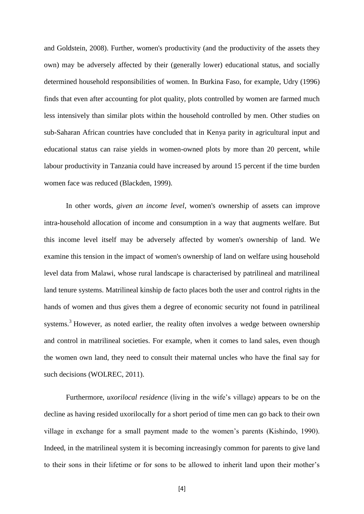and Goldstein, 2008). Further, women's productivity (and the productivity of the assets they own) may be adversely affected by their (generally lower) educational status, and socially determined household responsibilities of women. In Burkina Faso, for example, Udry (1996) finds that even after accounting for plot quality, plots controlled by women are farmed much less intensively than similar plots within the household controlled by men. Other studies on sub-Saharan African countries have concluded that in Kenya parity in agricultural input and educational status can raise yields in women-owned plots by more than 20 percent, while labour productivity in Tanzania could have increased by around 15 percent if the time burden women face was reduced (Blackden, 1999).

In other words, *given an income level*, women's ownership of assets can improve intra-household allocation of income and consumption in a way that augments welfare. But this income level itself may be adversely affected by women's ownership of land. We examine this tension in the impact of women's ownership of land on welfare using household level data from Malawi, whose rural landscape is characterised by patrilineal and matrilineal land tenure systems. Matrilineal kinship de facto places both the user and control rights in the hands of women and thus gives them a degree of economic security not found in patrilineal systems.<sup>3</sup> However, as noted earlier, the reality often involves a wedge between ownership and control in matrilineal societies. For example, when it comes to land sales, even though the women own land, they need to consult their maternal uncles who have the final say for such decisions (WOLREC, 2011).

Furthermore, *uxorilocal residence* (living in the wife's village) appears to be on the decline as having resided uxorilocally for a short period of time men can go back to their own village in exchange for a small payment made to the women's parents (Kishindo, 1990). Indeed, in the matrilineal system it is becoming increasingly common for parents to give land to their sons in their lifetime or for sons to be allowed to inherit land upon their mother's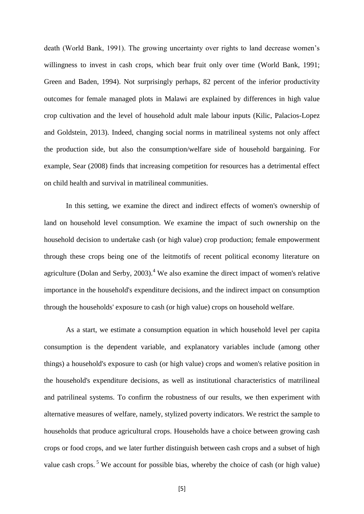death (World Bank, 1991). The growing uncertainty over rights to land decrease women's willingness to invest in cash crops, which bear fruit only over time (World Bank, 1991; Green and Baden, 1994). Not surprisingly perhaps, 82 percent of the inferior productivity outcomes for female managed plots in Malawi are explained by differences in high value crop cultivation and the level of household adult male labour inputs (Kilic, Palacios-Lopez and Goldstein, 2013). Indeed, changing social norms in matrilineal systems not only affect the production side, but also the consumption/welfare side of household bargaining. For example, Sear (2008) finds that increasing competition for resources has a detrimental effect on child health and survival in matrilineal communities.

In this setting, we examine the direct and indirect effects of women's ownership of land on household level consumption. We examine the impact of such ownership on the household decision to undertake cash (or high value) crop production; female empowerment through these crops being one of the leitmotifs of recent political economy literature on agriculture (Dolan and Serby,  $2003$ ).<sup>4</sup> We also examine the direct impact of women's relative importance in the household's expenditure decisions, and the indirect impact on consumption through the households' exposure to cash (or high value) crops on household welfare.

As a start, we estimate a consumption equation in which household level per capita consumption is the dependent variable, and explanatory variables include (among other things) a household's exposure to cash (or high value) crops and women's relative position in the household's expenditure decisions, as well as institutional characteristics of matrilineal and patrilineal systems. To confirm the robustness of our results, we then experiment with alternative measures of welfare, namely, stylized poverty indicators. We restrict the sample to households that produce agricultural crops. Households have a choice between growing cash crops or food crops, and we later further distinguish between cash crops and a subset of high value cash crops.<sup>5</sup> We account for possible bias, whereby the choice of cash (or high value)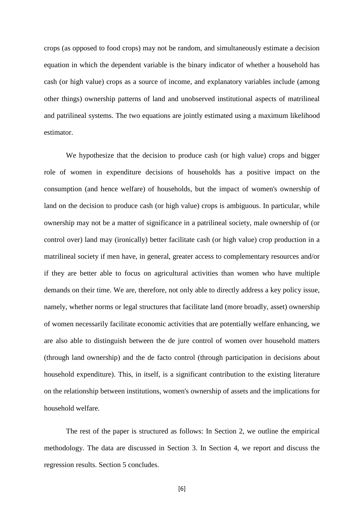crops (as opposed to food crops) may not be random, and simultaneously estimate a decision equation in which the dependent variable is the binary indicator of whether a household has cash (or high value) crops as a source of income, and explanatory variables include (among other things) ownership patterns of land and unobserved institutional aspects of matrilineal and patrilineal systems. The two equations are jointly estimated using a maximum likelihood estimator.

We hypothesize that the decision to produce cash (or high value) crops and bigger role of women in expenditure decisions of households has a positive impact on the consumption (and hence welfare) of households, but the impact of women's ownership of land on the decision to produce cash (or high value) crops is ambiguous. In particular, while ownership may not be a matter of significance in a patrilineal society, male ownership of (or control over) land may (ironically) better facilitate cash (or high value) crop production in a matrilineal society if men have, in general, greater access to complementary resources and/or if they are better able to focus on agricultural activities than women who have multiple demands on their time. We are, therefore, not only able to directly address a key policy issue, namely, whether norms or legal structures that facilitate land (more broadly, asset) ownership of women necessarily facilitate economic activities that are potentially welfare enhancing, we are also able to distinguish between the de jure control of women over household matters (through land ownership) and the de facto control (through participation in decisions about household expenditure). This, in itself, is a significant contribution to the existing literature on the relationship between institutions, women's ownership of assets and the implications for household welfare.

The rest of the paper is structured as follows: In Section 2, we outline the empirical methodology. The data are discussed in Section 3. In Section 4, we report and discuss the regression results. Section 5 concludes.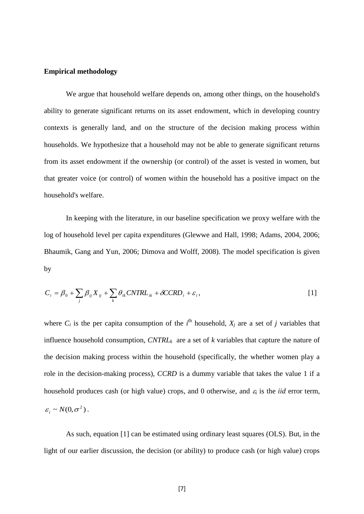#### **Empirical methodology**

We argue that household welfare depends on, among other things, on the household's ability to generate significant returns on its asset endowment, which in developing country contexts is generally land, and on the structure of the decision making process within households. We hypothesize that a household may not be able to generate significant returns from its asset endowment if the ownership (or control) of the asset is vested in women, but that greater voice (or control) of women within the household has a positive impact on the household's welfare.

In keeping with the literature, in our baseline specification we proxy welfare with the log of household level per capita expenditures (Glewwe and Hall, 1998; Adams, 2004, 2006; Bhaumik, Gang and Yun, 2006; Dimova and Wolff, 2008). The model specification is given by

$$
C_i = \beta_0 + \sum_j \beta_{ij} X_{ij} + \sum_k \theta_{ik} CNTRL_{ik} + \delta CCRD_i + \varepsilon_i,
$$
 [1]

where  $C_i$  is the per capita consumption of the  $i^{\text{th}}$  household,  $X_j$  are a set of *j* variables that influence household consumption, *CNTRLk* are a set of *k* variables that capture the nature of the decision making process within the household (specifically, the whether women play a role in the decision-making process), *CCRD* is a dummy variable that takes the value 1 if a household produces cash (or high value) crops, and 0 otherwise, and  $\varepsilon_i$  is the *iid* error term,  $\varepsilon_i \sim N(0, \sigma^2)$ .

As such, equation [1] can be estimated using ordinary least squares (OLS). But, in the light of our earlier discussion, the decision (or ability) to produce cash (or high value) crops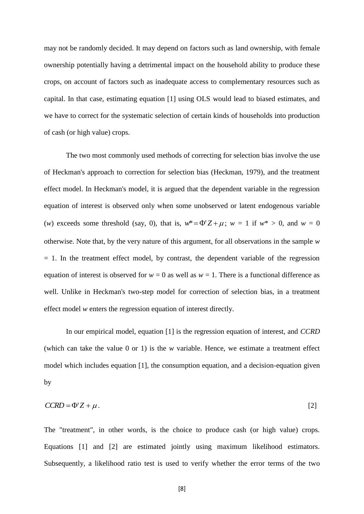may not be randomly decided. It may depend on factors such as land ownership, with female ownership potentially having a detrimental impact on the household ability to produce these crops, on account of factors such as inadequate access to complementary resources such as capital. In that case, estimating equation [1] using OLS would lead to biased estimates, and we have to correct for the systematic selection of certain kinds of households into production of cash (or high value) crops.

The two most commonly used methods of correcting for selection bias involve the use of Heckman's approach to correction for selection bias (Heckman, 1979), and the treatment effect model. In Heckman's model, it is argued that the dependent variable in the regression equation of interest is observed only when some unobserved or latent endogenous variable (*w*) exceeds some threshold (say, 0), that is,  $w^* = \Phi'Z + \mu$ ;  $w = 1$  if  $w^* > 0$ , and  $w = 0$ otherwise. Note that, by the very nature of this argument, for all observations in the sample *w*  $= 1$ . In the treatment effect model, by contrast, the dependent variable of the regression equation of interest is observed for  $w = 0$  as well as  $w = 1$ . There is a functional difference as well. Unlike in Heckman's two-step model for correction of selection bias, in a treatment effect model *w* enters the regression equation of interest directly.

In our empirical model, equation [1] is the regression equation of interest, and *CCRD* (which can take the value 0 or 1) is the *w* variable. Hence, we estimate a treatment effect model which includes equation [1], the consumption equation, and a decision-equation given by

$$
CCRD = \Phi'Z + \mu. \tag{2}
$$

The "treatment", in other words, is the choice to produce cash (or high value) crops. Equations [1] and [2] are estimated jointly using maximum likelihood estimators. Subsequently, a likelihood ratio test is used to verify whether the error terms of the two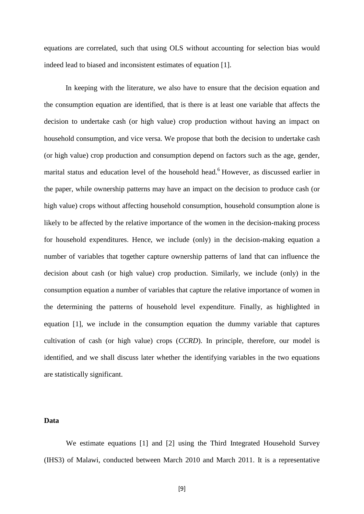equations are correlated, such that using OLS without accounting for selection bias would indeed lead to biased and inconsistent estimates of equation [1].

In keeping with the literature, we also have to ensure that the decision equation and the consumption equation are identified, that is there is at least one variable that affects the decision to undertake cash (or high value) crop production without having an impact on household consumption, and vice versa. We propose that both the decision to undertake cash (or high value) crop production and consumption depend on factors such as the age, gender, marital status and education level of the household head.<sup>6</sup> However, as discussed earlier in the paper, while ownership patterns may have an impact on the decision to produce cash (or high value) crops without affecting household consumption, household consumption alone is likely to be affected by the relative importance of the women in the decision-making process for household expenditures. Hence, we include (only) in the decision-making equation a number of variables that together capture ownership patterns of land that can influence the decision about cash (or high value) crop production. Similarly, we include (only) in the consumption equation a number of variables that capture the relative importance of women in the determining the patterns of household level expenditure. Finally, as highlighted in equation [1], we include in the consumption equation the dummy variable that captures cultivation of cash (or high value) crops (*CCRD*). In principle, therefore, our model is identified, and we shall discuss later whether the identifying variables in the two equations are statistically significant.

#### **Data**

We estimate equations [1] and [2] using the Third Integrated Household Survey (IHS3) of Malawi, conducted between March 2010 and March 2011. It is a representative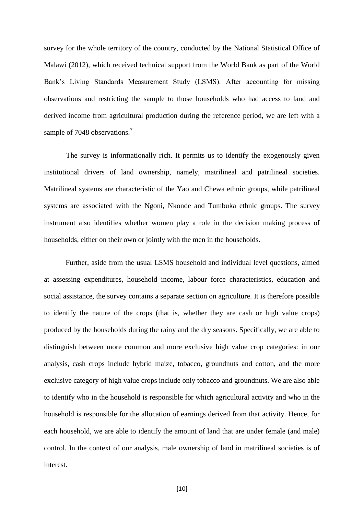survey for the whole territory of the country, conducted by the National Statistical Office of Malawi (2012), which received technical support from the World Bank as part of the World Bank's Living Standards Measurement Study (LSMS). After accounting for missing observations and restricting the sample to those households who had access to land and derived income from agricultural production during the reference period, we are left with a sample of 7048 observations.<sup>7</sup>

The survey is informationally rich. It permits us to identify the exogenously given institutional drivers of land ownership, namely, matrilineal and patrilineal societies. Matrilineal systems are characteristic of the Yao and Chewa ethnic groups, while patrilineal systems are associated with the Ngoni, Nkonde and Tumbuka ethnic groups. The survey instrument also identifies whether women play a role in the decision making process of households, either on their own or jointly with the men in the households.

Further, aside from the usual LSMS household and individual level questions, aimed at assessing expenditures, household income, labour force characteristics, education and social assistance, the survey contains a separate section on agriculture. It is therefore possible to identify the nature of the crops (that is, whether they are cash or high value crops) produced by the households during the rainy and the dry seasons. Specifically, we are able to distinguish between more common and more exclusive high value crop categories: in our analysis, cash crops include hybrid maize, tobacco, groundnuts and cotton, and the more exclusive category of high value crops include only tobacco and groundnuts. We are also able to identify who in the household is responsible for which agricultural activity and who in the household is responsible for the allocation of earnings derived from that activity. Hence, for each household, we are able to identify the amount of land that are under female (and male) control. In the context of our analysis, male ownership of land in matrilineal societies is of interest.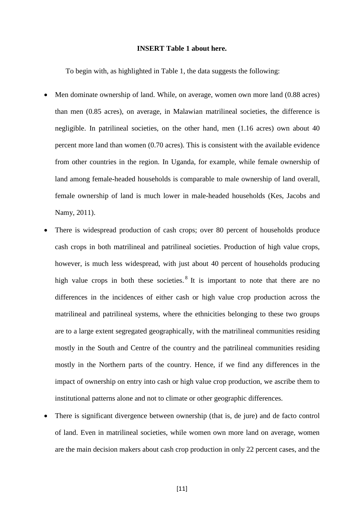#### **INSERT Table 1 about here.**

To begin with, as highlighted in Table 1, the data suggests the following:

- Men dominate ownership of land. While, on average, women own more land (0.88 acres) than men (0.85 acres), on average, in Malawian matrilineal societies, the difference is negligible. In patrilineal societies, on the other hand, men (1.16 acres) own about 40 percent more land than women (0.70 acres). This is consistent with the available evidence from other countries in the region. In Uganda, for example, while female ownership of land among female-headed households is comparable to male ownership of land overall, female ownership of land is much lower in male-headed households (Kes, Jacobs and Namy, 2011).
- There is widespread production of cash crops; over 80 percent of households produce cash crops in both matrilineal and patrilineal societies. Production of high value crops, however, is much less widespread, with just about 40 percent of households producing high value crops in both these societies.<sup>8</sup> It is important to note that there are no differences in the incidences of either cash or high value crop production across the matrilineal and patrilineal systems, where the ethnicities belonging to these two groups are to a large extent segregated geographically, with the matrilineal communities residing mostly in the South and Centre of the country and the patrilineal communities residing mostly in the Northern parts of the country. Hence, if we find any differences in the impact of ownership on entry into cash or high value crop production, we ascribe them to institutional patterns alone and not to climate or other geographic differences.
- There is significant divergence between ownership (that is, de jure) and de facto control of land. Even in matrilineal societies, while women own more land on average, women are the main decision makers about cash crop production in only 22 percent cases, and the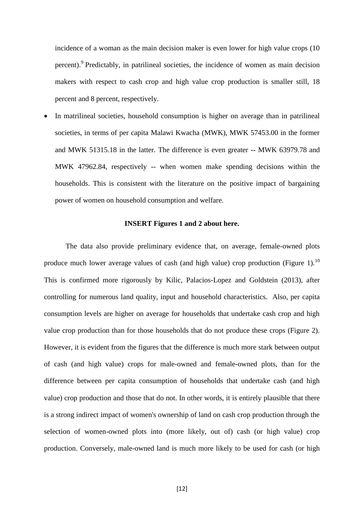incidence of a woman as the main decision maker is even lower for high value crops (10 percent). Predictably, in patrilineal societies, the incidence of women as main decision makers with respect to cash crop and high value crop production is smaller still, 18 percent and 8 percent, respectively.

 In matrilineal societies, household consumption is higher on average than in patrilineal societies, in terms of per capita Malawi Kwacha (MWK), MWK 57453.00 in the former and MWK 51315.18 in the latter. The difference is even greater -- MWK 63979.78 and MWK 47962.84, respectively -- when women make spending decisions within the households. This is consistent with the literature on the positive impact of bargaining power of women on household consumption and welfare.

#### **INSERT Figures 1 and 2 about here.**

The data also provide preliminary evidence that, on average, female-owned plots produce much lower average values of cash (and high value) crop production (Figure 1).<sup>10</sup> This is confirmed more rigorously by Kilic, Palacios-Lopez and Goldstein (2013), after controlling for numerous land quality, input and household characteristics. Also, per capita consumption levels are higher on average for households that undertake cash crop and high value crop production than for those households that do not produce these crops (Figure 2). However, it is evident from the figures that the difference is much more stark between output of cash (and high value) crops for male-owned and female-owned plots, than for the difference between per capita consumption of households that undertake cash (and high value) crop production and those that do not. In other words, it is entirely plausible that there is a strong indirect impact of women's ownership of land on cash crop production through the selection of women-owned plots into (more likely, out of) cash (or high value) crop production. Conversely, male-owned land is much more likely to be used for cash (or high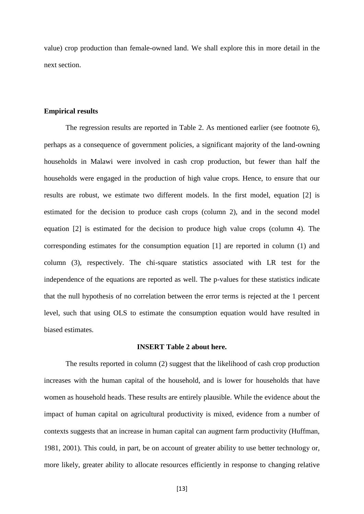value) crop production than female-owned land. We shall explore this in more detail in the next section.

#### **Empirical results**

The regression results are reported in Table 2. As mentioned earlier (see footnote 6), perhaps as a consequence of government policies, a significant majority of the land-owning households in Malawi were involved in cash crop production, but fewer than half the households were engaged in the production of high value crops. Hence, to ensure that our results are robust, we estimate two different models. In the first model, equation [2] is estimated for the decision to produce cash crops (column 2), and in the second model equation [2] is estimated for the decision to produce high value crops (column 4). The corresponding estimates for the consumption equation [1] are reported in column (1) and column (3), respectively. The chi-square statistics associated with LR test for the independence of the equations are reported as well. The p-values for these statistics indicate that the null hypothesis of no correlation between the error terms is rejected at the 1 percent level, such that using OLS to estimate the consumption equation would have resulted in biased estimates.

#### **INSERT Table 2 about here.**

The results reported in column (2) suggest that the likelihood of cash crop production increases with the human capital of the household, and is lower for households that have women as household heads. These results are entirely plausible. While the evidence about the impact of human capital on agricultural productivity is mixed, evidence from a number of contexts suggests that an increase in human capital can augment farm productivity (Huffman, 1981, 2001). This could, in part, be on account of greater ability to use better technology or, more likely, greater ability to allocate resources efficiently in response to changing relative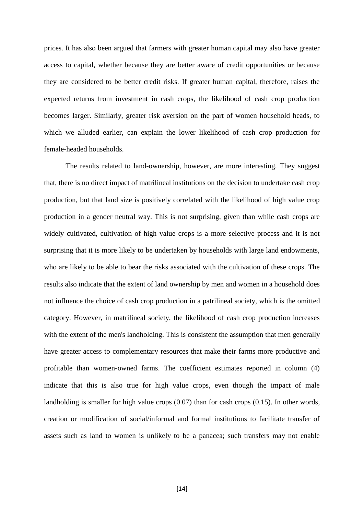prices. It has also been argued that farmers with greater human capital may also have greater access to capital, whether because they are better aware of credit opportunities or because they are considered to be better credit risks. If greater human capital, therefore, raises the expected returns from investment in cash crops, the likelihood of cash crop production becomes larger. Similarly, greater risk aversion on the part of women household heads, to which we alluded earlier, can explain the lower likelihood of cash crop production for female-headed households.

The results related to land-ownership, however, are more interesting. They suggest that, there is no direct impact of matrilineal institutions on the decision to undertake cash crop production, but that land size is positively correlated with the likelihood of high value crop production in a gender neutral way. This is not surprising, given than while cash crops are widely cultivated, cultivation of high value crops is a more selective process and it is not surprising that it is more likely to be undertaken by households with large land endowments, who are likely to be able to bear the risks associated with the cultivation of these crops. The results also indicate that the extent of land ownership by men and women in a household does not influence the choice of cash crop production in a patrilineal society, which is the omitted category. However, in matrilineal society, the likelihood of cash crop production increases with the extent of the men's landholding. This is consistent the assumption that men generally have greater access to complementary resources that make their farms more productive and profitable than women-owned farms. The coefficient estimates reported in column (4) indicate that this is also true for high value crops, even though the impact of male landholding is smaller for high value crops (0.07) than for cash crops (0.15). In other words, creation or modification of social/informal and formal institutions to facilitate transfer of assets such as land to women is unlikely to be a panacea; such transfers may not enable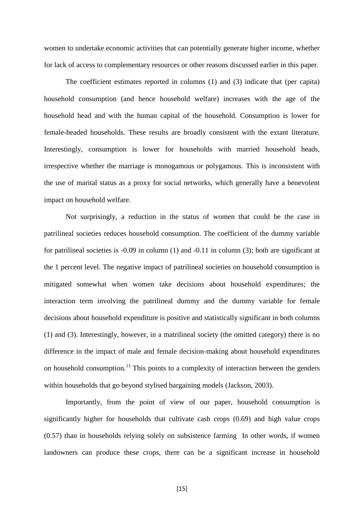women to undertake economic activities that can potentially generate higher income, whether for lack of access to complementary resources or other reasons discussed earlier in this paper.

The coefficient estimates reported in columns (1) and (3) indicate that (per capita) household consumption (and hence household welfare) increases with the age of the household head and with the human capital of the household. Consumption is lower for female-headed households. These results are broadly consistent with the extant literature. Interestingly, consumption is lower for households with married household heads, irrespective whether the marriage is monogamous or polygamous. This is inconsistent with the use of marital status as a proxy for social networks, which generally have a benevolent impact on household welfare.

Not surprisingly, a reduction in the status of women that could be the case in patrilineal societies reduces household consumption. The coefficient of the dummy variable for patrilineal societies is -0.09 in column (1) and -0.11 in column (3); both are significant at the 1 percent level. The negative impact of patrilineal societies on household consumption is mitigated somewhat when women take decisions about household expenditures; the interaction term involving the patrilineal dummy and the dummy variable for female decisions about household expenditure is positive and statistically significant in both columns (1) and (3). Interestingly, however, in a matrilineal society (the omitted category) there is no difference in the impact of male and female decision-making about household expenditures on household consumption.<sup>11</sup> This points to a complexity of interaction between the genders within households that go beyond stylised bargaining models (Jackson, 2003).

Importantly, from the point of view of our paper, household consumption is significantly higher for households that cultivate cash crops (0.69) and high value crops (0.57) than in households relying solely on subsistence farming In other words, if women landowners can produce these crops, there can be a significant increase in household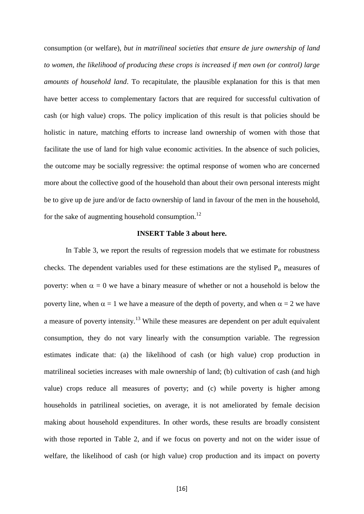consumption (or welfare), *but in matrilineal societies that ensure de jure ownership of land to women, the likelihood of producing these crops is increased if men own (or control) large amounts of household land*. To recapitulate, the plausible explanation for this is that men have better access to complementary factors that are required for successful cultivation of cash (or high value) crops. The policy implication of this result is that policies should be holistic in nature, matching efforts to increase land ownership of women with those that facilitate the use of land for high value economic activities. In the absence of such policies, the outcome may be socially regressive: the optimal response of women who are concerned more about the collective good of the household than about their own personal interests might be to give up de jure and/or de facto ownership of land in favour of the men in the household, for the sake of augmenting household consumption. $^{12}$ 

#### **INSERT Table 3 about here.**

In Table 3, we report the results of regression models that we estimate for robustness checks. The dependent variables used for these estimations are the stylised  $P_\alpha$  measures of poverty: when  $\alpha = 0$  we have a binary measure of whether or not a household is below the poverty line, when  $\alpha = 1$  we have a measure of the depth of poverty, and when  $\alpha = 2$  we have a measure of poverty intensity.<sup>13</sup> While these measures are dependent on per adult equivalent consumption, they do not vary linearly with the consumption variable. The regression estimates indicate that: (a) the likelihood of cash (or high value) crop production in matrilineal societies increases with male ownership of land; (b) cultivation of cash (and high value) crops reduce all measures of poverty; and (c) while poverty is higher among households in patrilineal societies, on average, it is not ameliorated by female decision making about household expenditures. In other words, these results are broadly consistent with those reported in Table 2, and if we focus on poverty and not on the wider issue of welfare, the likelihood of cash (or high value) crop production and its impact on poverty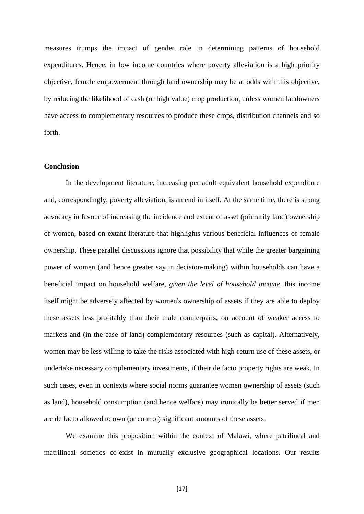measures trumps the impact of gender role in determining patterns of household expenditures. Hence, in low income countries where poverty alleviation is a high priority objective, female empowerment through land ownership may be at odds with this objective, by reducing the likelihood of cash (or high value) crop production, unless women landowners have access to complementary resources to produce these crops, distribution channels and so forth.

#### **Conclusion**

In the development literature, increasing per adult equivalent household expenditure and, correspondingly, poverty alleviation, is an end in itself. At the same time, there is strong advocacy in favour of increasing the incidence and extent of asset (primarily land) ownership of women, based on extant literature that highlights various beneficial influences of female ownership. These parallel discussions ignore that possibility that while the greater bargaining power of women (and hence greater say in decision-making) within households can have a beneficial impact on household welfare, *given the level of household income*, this income itself might be adversely affected by women's ownership of assets if they are able to deploy these assets less profitably than their male counterparts, on account of weaker access to markets and (in the case of land) complementary resources (such as capital). Alternatively, women may be less willing to take the risks associated with high-return use of these assets, or undertake necessary complementary investments, if their de facto property rights are weak. In such cases, even in contexts where social norms guarantee women ownership of assets (such as land), household consumption (and hence welfare) may ironically be better served if men are de facto allowed to own (or control) significant amounts of these assets.

We examine this proposition within the context of Malawi, where patrilineal and matrilineal societies co-exist in mutually exclusive geographical locations. Our results

[17]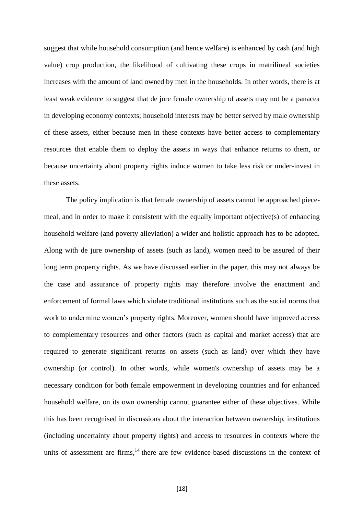suggest that while household consumption (and hence welfare) is enhanced by cash (and high value) crop production, the likelihood of cultivating these crops in matrilineal societies increases with the amount of land owned by men in the households. In other words, there is at least weak evidence to suggest that de jure female ownership of assets may not be a panacea in developing economy contexts; household interests may be better served by male ownership of these assets, either because men in these contexts have better access to complementary resources that enable them to deploy the assets in ways that enhance returns to them, or because uncertainty about property rights induce women to take less risk or under-invest in these assets.

The policy implication is that female ownership of assets cannot be approached piecemeal, and in order to make it consistent with the equally important objective(s) of enhancing household welfare (and poverty alleviation) a wider and holistic approach has to be adopted. Along with de jure ownership of assets (such as land), women need to be assured of their long term property rights. As we have discussed earlier in the paper, this may not always be the case and assurance of property rights may therefore involve the enactment and enforcement of formal laws which violate traditional institutions such as the social norms that work to undermine women's property rights. Moreover, women should have improved access to complementary resources and other factors (such as capital and market access) that are required to generate significant returns on assets (such as land) over which they have ownership (or control). In other words, while women's ownership of assets may be a necessary condition for both female empowerment in developing countries and for enhanced household welfare, on its own ownership cannot guarantee either of these objectives. While this has been recognised in discussions about the interaction between ownership, institutions (including uncertainty about property rights) and access to resources in contexts where the units of assessment are firms, $<sup>14</sup>$  there are few evidence-based discussions in the context of</sup>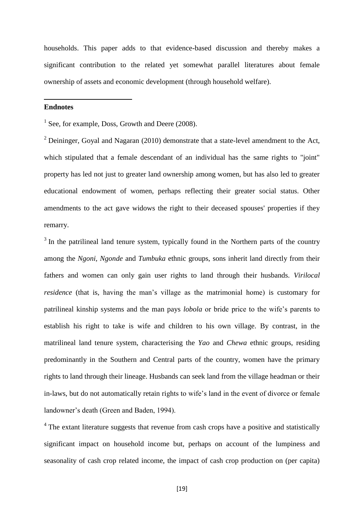households. This paper adds to that evidence-based discussion and thereby makes a significant contribution to the related yet somewhat parallel literatures about female ownership of assets and economic development (through household welfare).

#### **Endnotes**

1

<sup>1</sup> See, for example, Doss, Growth and Deere (2008).

 $2$  Deininger, Goyal and Nagaran (2010) demonstrate that a state-level amendment to the Act, which stipulated that a female descendant of an individual has the same rights to "joint" property has led not just to greater land ownership among women, but has also led to greater educational endowment of women, perhaps reflecting their greater social status. Other amendments to the act gave widows the right to their deceased spouses' properties if they remarry.

 $3$  In the patrilineal land tenure system, typically found in the Northern parts of the country among the *Ngoni, Ngonde* and *Tumbuka* ethnic groups, sons inherit land directly from their fathers and women can only gain user rights to land through their husbands. *Virilocal residence* (that is, having the man's village as the matrimonial home) is customary for patrilineal kinship systems and the man pays *lobola* or bride price to the wife's parents to establish his right to take is wife and children to his own village. By contrast, in the matrilineal land tenure system, characterising the *Yao* and *Chewa* ethnic groups, residing predominantly in the Southern and Central parts of the country, women have the primary rights to land through their lineage. Husbands can seek land from the village headman or their in-laws, but do not automatically retain rights to wife's land in the event of divorce or female landowner's death (Green and Baden, 1994).

 $4$  The extant literature suggests that revenue from cash crops have a positive and statistically significant impact on household income but, perhaps on account of the lumpiness and seasonality of cash crop related income, the impact of cash crop production on (per capita)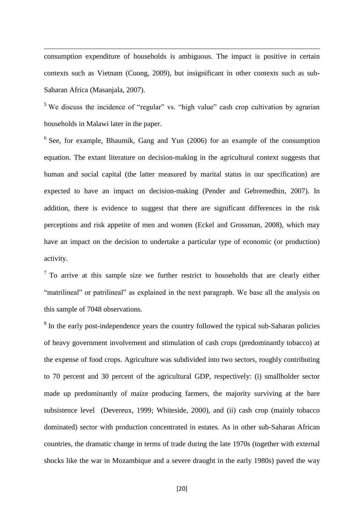consumption expenditure of households is ambiguous. The impact is positive in certain contexts such as Vietnam (Cuong, 2009), but insignificant in other contexts such as sub-Saharan Africa (Masanjala, 2007).

1

<sup>5</sup> We discuss the incidence of "regular" vs. "high value" cash crop cultivation by agrarian households in Malawi later in the paper.

<sup>6</sup> See, for example, Bhaumik, Gang and Yun (2006) for an example of the consumption equation. The extant literature on decision-making in the agricultural context suggests that human and social capital (the latter measured by marital status in our specification) are expected to have an impact on decision-making (Pender and Gebremedhin, 2007). In addition, there is evidence to suggest that there are significant differences in the risk perceptions and risk appetite of men and women (Eckel and Grossman, 2008), which may have an impact on the decision to undertake a particular type of economic (or production) activity.

 $<sup>7</sup>$  To arrive at this sample size we further restrict to households that are clearly either</sup> "matrilineal" or patrilineal" as explained in the next paragraph. We base all the analysis on this sample of 7048 observations.

<sup>8</sup> In the early post-independence years the country followed the typical sub-Saharan policies of heavy government involvement and stimulation of cash crops (predominantly tobacco) at the expense of food crops. Agriculture was subdivided into two sectors, roughly contributing to 70 percent and 30 percent of the agricultural GDP, respectively: (i) smallholder sector made up predominantly of maize producing farmers, the majority surviving at the bare subsistence level (Devereux, 1999; Whiteside, 2000), and (ii) cash crop (mainly tobacco dominated) sector with production concentrated in estates. As in other sub-Saharan African countries, the dramatic change in terms of trade during the late 1970s (together with external shocks like the war in Mozambique and a severe draught in the early 1980s) paved the way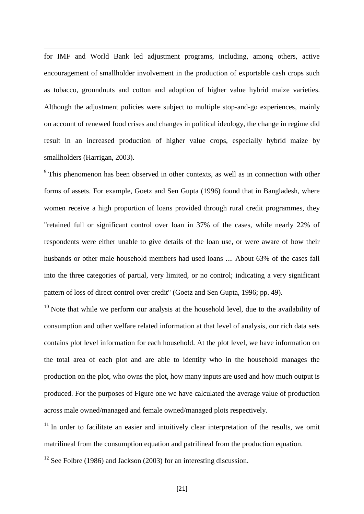for IMF and World Bank led adjustment programs, including, among others, active encouragement of smallholder involvement in the production of exportable cash crops such as tobacco, groundnuts and cotton and adoption of higher value hybrid maize varieties. Although the adjustment policies were subject to multiple stop-and-go experiences, mainly on account of renewed food crises and changes in political ideology, the change in regime did result in an increased production of higher value crops, especially hybrid maize by smallholders (Harrigan, 2003).

1

<sup>9</sup> This phenomenon has been observed in other contexts, as well as in connection with other forms of assets. For example, Goetz and Sen Gupta (1996) found that in Bangladesh, where women receive a high proportion of loans provided through rural credit programmes, they "retained full or significant control over loan in 37% of the cases, while nearly 22% of respondents were either unable to give details of the loan use, or were aware of how their husbands or other male household members had used loans .... About 63% of the cases fall into the three categories of partial, very limited, or no control; indicating a very significant pattern of loss of direct control over credit" (Goetz and Sen Gupta, 1996; pp. 49).

 $10$  Note that while we perform our analysis at the household level, due to the availability of consumption and other welfare related information at that level of analysis, our rich data sets contains plot level information for each household. At the plot level, we have information on the total area of each plot and are able to identify who in the household manages the production on the plot, who owns the plot, how many inputs are used and how much output is produced. For the purposes of Figure one we have calculated the average value of production across male owned/managed and female owned/managed plots respectively.

 $11$  In order to facilitate an easier and intuitively clear interpretation of the results, we omit matrilineal from the consumption equation and patrilineal from the production equation.

 $12$  See Folbre (1986) and Jackson (2003) for an interesting discussion.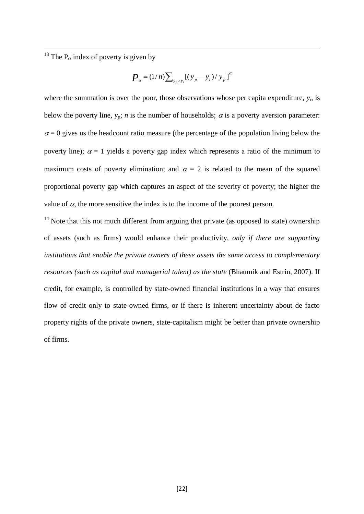<sup>13</sup> The P<sub> $\alpha$ </sub> index of poverty is given by

1

$$
P_{\alpha} = (1/n) \sum_{y_p > y_i} [(y_p - y_i) / y_p]^{\alpha}
$$

where the summation is over the poor, those observations whose per capita expenditure,  $y_i$ , is below the poverty line,  $y_p$ ; *n* is the number of households;  $\alpha$  is a poverty aversion parameter:  $\alpha$  = 0 gives us the headcount ratio measure (the percentage of the population living below the poverty line);  $\alpha = 1$  yields a poverty gap index which represents a ratio of the minimum to maximum costs of poverty elimination; and  $\alpha = 2$  is related to the mean of the squared proportional poverty gap which captures an aspect of the severity of poverty; the higher the value of  $\alpha$ , the more sensitive the index is to the income of the poorest person.

<sup>14</sup> Note that this not much different from arguing that private (as opposed to state) ownership of assets (such as firms) would enhance their productivity, *only if there are supporting institutions that enable the private owners of these assets the same access to complementary resources (such as capital and managerial talent) as the state* (Bhaumik and Estrin, 2007). If credit, for example, is controlled by state-owned financial institutions in a way that ensures flow of credit only to state-owned firms, or if there is inherent uncertainty about de facto property rights of the private owners, state-capitalism might be better than private ownership of firms.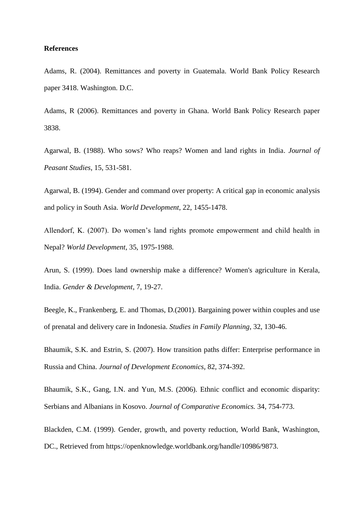#### **References**

Adams, R. (2004). Remittances and poverty in Guatemala. World Bank Policy Research paper 3418. Washington. D.C.

Adams, R (2006). Remittances and poverty in Ghana. World Bank Policy Research paper 3838.

Agarwal, B. (1988). Who sows? Who reaps? Women and land rights in India. *Journal of Peasant Studies*, 15, 531-581.

Agarwal, B. (1994). Gender and command over property: A critical gap in economic analysis and policy in South Asia. *World Development*, 22, 1455-1478.

Allendorf, K. (2007). Do women's land rights promote empowerment and child health in Nepal? *World Development*, 35, 1975-1988.

Arun, S. (1999). Does land ownership make a difference? Women's agriculture in Kerala, India. *Gender & Development*, 7, 19-27.

Beegle, K., Frankenberg, E. and Thomas, D.(2001). Bargaining power within couples and use of prenatal and delivery care in Indonesia. *Studies in Family Planning*, 32, 130-46.

Bhaumik, S.K. and Estrin, S. (2007). How transition paths differ: Enterprise performance in Russia and China. *Journal of Development Economics*, 82, 374-392.

Bhaumik, S.K., Gang, I.N. and Yun, M.S. (2006). Ethnic conflict and economic disparity: Serbians and Albanians in Kosovo. *Journal of Comparative Economics.* 34, 754-773.

Blackden, C.M. (1999). Gender, growth, and poverty reduction, World Bank, Washington, DC., Retrieved from https://openknowledge.worldbank.org/handle/10986/9873.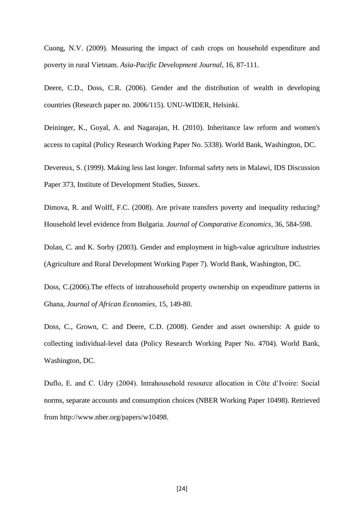Cuong, N.V. (2009). Measuring the impact of cash crops on household expenditure and poverty in rural Vietnam. *Asia-Pacific Development Journal*, 16, 87-111.

Deere, C.D., Doss, C.R. (2006). Gender and the distribution of wealth in developing countries (Research paper no. 2006/115). UNU-WIDER, Helsinki.

Deininger, K., Goyal, A. and Nagarajan, H. (2010). Inheritance law reform and women's access to capital (Policy Research Working Paper No. 5338). World Bank, Washington, DC.

Devereux, S. (1999). Making less last longer. Informal safety nets in Malawi, IDS Discussion Paper 373, Institute of Development Studies, Sussex.

Dimova, R. and Wolff, F.C. (2008). Are private transfers poverty and inequality reducing? Household level evidence from Bulgaria. *Journal of Comparative Economics*, 36, 584-598.

Dolan, C. and K. Sorby (2003). Gender and employment in high-value agriculture industries (Agriculture and Rural Development Working Paper 7). World Bank, Washington, DC.

Doss, C.(2006).The effects of intrahousehold property ownership on expenditure patterns in Ghana, *Journal of African Economies*, 15, 149-80.

Doss, C., Grown, C. and Deere, C.D. (2008). Gender and asset ownership: A guide to collecting individual-level data (Policy Research Working Paper No. 4704). World Bank, Washington, DC.

Duflo, E. and C. Udry (2004). Intrahousehold resource allocation in Côte d'Ivoire: Social norms, separate accounts and consumption choices (NBER Working Paper 10498). Retrieved from http://www.nber.org/papers/w10498.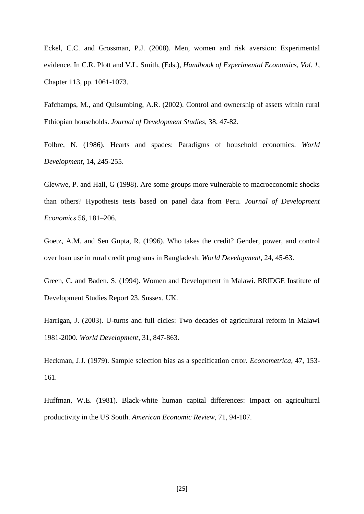Eckel, C.C. and Grossman, P.J. (2008). Men, women and risk aversion: Experimental evidence. In C.R. Plott and V.L. Smith, (Eds.), *Handbook of Experimental Economics*, *Vol. 1*, Chapter 113, pp. 1061-1073.

Fafchamps, M., and Quisumbing, A.R. (2002). Control and ownership of assets within rural Ethiopian households. *Journal of Development Studies*, 38, 47-82.

Folbre, N. (1986). Hearts and spades: Paradigms of household economics. *World Development*, 14, 245-255.

Glewwe, P. and Hall, G (1998). Are some groups more vulnerable to macroeconomic shocks than others? Hypothesis tests based on panel data from Peru. *Journal of Development Economics* 56, 181–206.

Goetz, A.M. and Sen Gupta, R. (1996). Who takes the credit? Gender, power, and control over loan use in rural credit programs in Bangladesh. *World Development*, 24, 45-63.

Green, C. and Baden. S. (1994). Women and Development in Malawi. BRIDGE Institute of Development Studies Report 23. Sussex, UK.

Harrigan, J. (2003). U-turns and full cicles: Two decades of agricultural reform in Malawi 1981-2000. *World Development*, 31, 847-863.

Heckman, J.J. (1979). Sample selection bias as a specification error. *Econometrica*, 47, 153- 161.

Huffman, W.E. (1981). Black-white human capital differences: Impact on agricultural productivity in the US South. *American Economic Review*, 71, 94-107.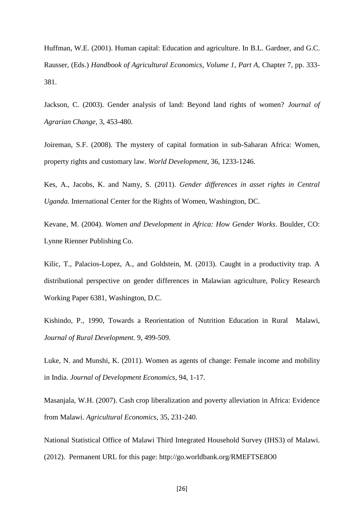Huffman, W.E. (2001). Human capital: Education and agriculture. In B.L. Gardner, and G.C. Rausser, (Eds.) *Handbook of Agricultural Economics*, *Volume 1*, *Part A*, Chapter 7, pp. 333- 381.

Jackson, C. (2003). Gender analysis of land: Beyond land rights of women? *Journal of Agrarian Change*, 3, 453-480.

Joireman, S.F. (2008). The mystery of capital formation in sub-Saharan Africa: Women, property rights and customary law. *World Development*, 36, 1233-1246.

Kes, A., Jacobs, K. and Namy, S. (2011). *Gender differences in asset rights in Central Uganda.* International Center for the Rights of Women, Washington, DC.

Kevane, M. (2004). *Women and Development in Africa: How Gender Works*. Boulder, CO: Lynne Rienner Publishing Co.

Kilic, T., Palacios-Lopez, A., and Goldstein, M. (2013). Caught in a productivity trap. A distributional perspective on gender differences in Malawian agriculture, Policy Research Working Paper 6381, Washington, D.C.

Kishindo, P., 1990, Towards a Reorientation of Nutrition Education in Rural Malawi, *Journal of Rural Development*. 9, 499-509.

Luke, N. and Munshi, K. (2011). Women as agents of change: Female income and mobility in India. *Journal of Development Economics,* 94, 1-17.

Masanjala, W.H. (2007). Cash crop liberalization and poverty alleviation in Africa: Evidence from Malawi. *Agricultural Economics*, 35, 231-240.

National Statistical Office of Malawi Third Integrated Household Survey (IHS3) of Malawi. (2012). Permanent URL for this page: http://go.worldbank.org/RMEFTSE8O0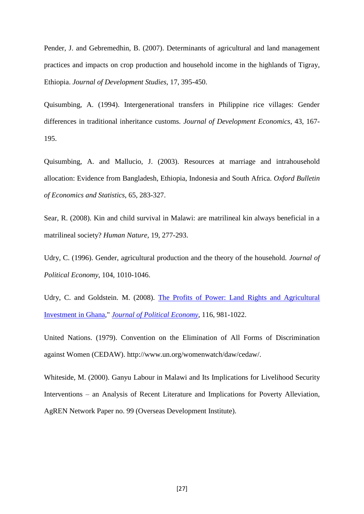Pender, J. and Gebremedhin, B. (2007). Determinants of agricultural and land management practices and impacts on crop production and household income in the highlands of Tigray, Ethiopia. *Journal of Development Studies*, 17, 395-450.

Quisumbing, A. (1994). Intergenerational transfers in Philippine rice villages: Gender differences in traditional inheritance customs. *Journal of Development Economics*, 43, 167- 195.

Quisumbing, A. and Mallucio, J. (2003). Resources at marriage and intrahousehold allocation: Evidence from Bangladesh, Ethiopia, Indonesia and South Africa. *Oxford Bulletin of Economics and Statistics*, 65, 283-327.

Sear, R. (2008). Kin and child survival in Malawi: are matrilineal kin always beneficial in a matrilineal society? *Human Nature*, 19, 277-293.

Udry, C. (1996). Gender, agricultural production and the theory of the household. *Journal of Political Economy*, 104, 1010-1046.

Udry, C. and Goldstein. M. (2008). The Profits of Power: Land Rights and Agricultural [Investment in Ghana,](http://ideas.repec.org/a/ucp/jpolec/v116y2008i6p981-1022.html)" *[Journal of Political Economy](http://ideas.repec.org/s/ucp/jpolec.html)*, 116, 981-1022.

United Nations. (1979). Convention on the Elimination of All Forms of Discrimination against Women (CEDAW). http://www.un.org/womenwatch/daw/cedaw/.

Whiteside, M. (2000). Ganyu Labour in Malawi and Its Implications for Livelihood Security Interventions – an Analysis of Recent Literature and Implications for Poverty Alleviation, AgREN Network Paper no. 99 (Overseas Development Institute).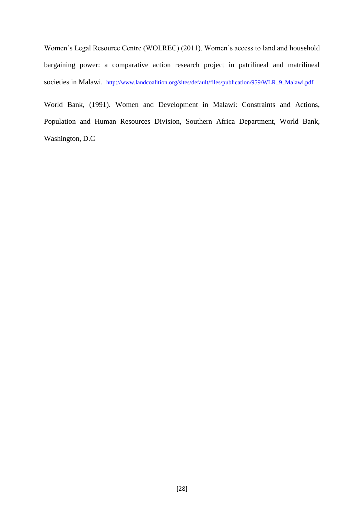Women's Legal Resource Centre (WOLREC) (2011). Women's access to land and household bargaining power: a comparative action research project in patrilineal and matrilineal societies in Malawi. [http://www.landcoalition.org/sites/default/files/publication/959/WLR\\_9\\_Malawi.pdf](http://www.landcoalition.org/sites/default/files/publication/959/WLR_9_Malawi.pdf)

World Bank, (1991). Women and Development in Malawi: Constraints and Actions, Population and Human Resources Division, Southern Africa Department, World Bank, Washington, D.C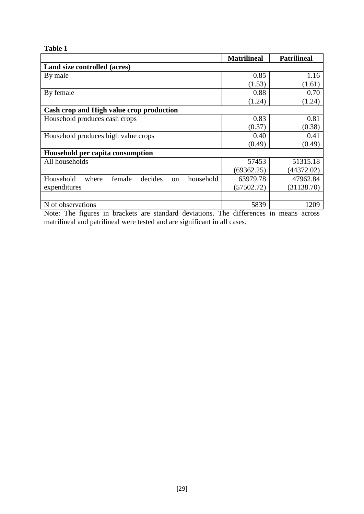### **Table 1**

|                                                            | <b>Matrilineal</b> | <b>Patrilineal</b> |  |  |  |  |  |  |  |
|------------------------------------------------------------|--------------------|--------------------|--|--|--|--|--|--|--|
| Land size controlled (acres)                               |                    |                    |  |  |  |  |  |  |  |
| By male                                                    | 0.85               | 1.16               |  |  |  |  |  |  |  |
|                                                            | (1.53)             | (1.61)             |  |  |  |  |  |  |  |
| By female                                                  | 0.88               | 0.70               |  |  |  |  |  |  |  |
|                                                            | (1.24)             | (1.24)             |  |  |  |  |  |  |  |
| Cash crop and High value crop production                   |                    |                    |  |  |  |  |  |  |  |
| Household produces cash crops                              | 0.83               | 0.81               |  |  |  |  |  |  |  |
|                                                            | (0.37)             | (0.38)             |  |  |  |  |  |  |  |
| Household produces high value crops                        | 0.40               | 0.41               |  |  |  |  |  |  |  |
|                                                            | (0.49)             | (0.49)             |  |  |  |  |  |  |  |
| Household per capita consumption                           |                    |                    |  |  |  |  |  |  |  |
| All households                                             | 57453              | 51315.18           |  |  |  |  |  |  |  |
|                                                            | (69362.25)         | (44372.02)         |  |  |  |  |  |  |  |
| Household<br>decides<br>household<br>female<br>where<br>on | 63979.78           | 47962.84           |  |  |  |  |  |  |  |
| expenditures                                               | (57502.72)         | (31138.70)         |  |  |  |  |  |  |  |
|                                                            |                    |                    |  |  |  |  |  |  |  |
| N of observations                                          | 5839               | 1209               |  |  |  |  |  |  |  |

Note: The figures in brackets are standard deviations. The differences in means across matrilineal and patrilineal were tested and are significant in all cases.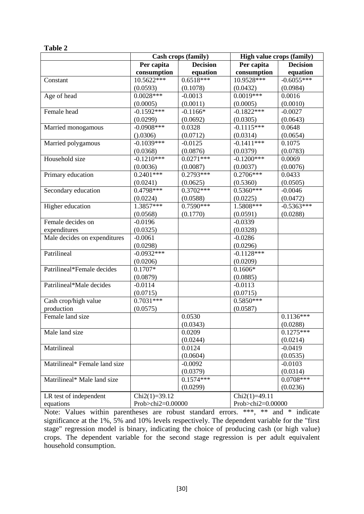|                               | Cash crops (family)           |             | <b>High value crops (family)</b> |                 |  |  |
|-------------------------------|-------------------------------|-------------|----------------------------------|-----------------|--|--|
|                               | <b>Decision</b><br>Per capita |             | Per capita                       | <b>Decision</b> |  |  |
|                               | consumption                   | equation    | consumption                      | equation        |  |  |
| Constant                      | $10.5622***$                  | $0.6518***$ | 10.9528***                       | $-0.6055***$    |  |  |
|                               | (0.0593)                      | (0.1078)    | (0.0432)                         | (0.0984)        |  |  |
| Age of head                   | $0.0028***$                   | $-0.0013$   | $0.0019***$                      | 0.0016          |  |  |
|                               | (0.0005)                      | (0.0011)    | (0.0005)                         | (0.0010)        |  |  |
| Female head                   | $-0.1592***$                  | $-0.1166*$  | $-0.1822***$                     | $-0.0027$       |  |  |
|                               | (0.0299)                      | (0.0692)    | (0.0305)                         | (0.0643)        |  |  |
| Married monogamous            | $-0.0908***$                  | 0.0328      | $-0.1115***$                     | 0.0648          |  |  |
|                               | (0.0306)                      | (0.0712)    | (0.0314)                         | (0.0654)        |  |  |
| Married polygamous            | $-0.1039***$                  | $-0.0125$   | $-0.1411$ ***                    | 0.1075          |  |  |
|                               | (0.0368)                      | (0.0876)    | (0.0379)                         | (0.0783)        |  |  |
| Household size                | $-0.1210***$                  | $0.0271***$ | $-0.1200***$                     | 0.0069          |  |  |
|                               | (0.0036)                      | (0.0087)    | (0.0037)                         | (0.0076)        |  |  |
| Primary education             | $0.2401***$                   | $0.2793***$ | $0.2706***$                      | 0.0433          |  |  |
|                               | (0.0241)                      | (0.0625)    | (0.5360)                         | (0.0505)        |  |  |
| Secondary education           | 0.4798***                     | $0.3702***$ | $0.5360***$                      | $-0.0046$       |  |  |
|                               | (0.0224)                      | (0.0588)    | (0.0225)                         | (0.0472)        |  |  |
| Higher education              | $1.3857***$                   | $0.7590***$ | 1.5808***                        | $-0.5363***$    |  |  |
|                               | (0.0568)                      | (0.1770)    | (0.0591)                         | (0.0288)        |  |  |
| Female decides on             | $-0.0196$                     |             | $-0.0339$                        |                 |  |  |
| expenditures                  | (0.0325)                      |             | (0.0328)                         |                 |  |  |
| Male decides on expenditures  | $-0.0061$                     |             | $-0.0286$                        |                 |  |  |
|                               | (0.0298)                      |             | (0.0296)                         |                 |  |  |
| Patrilineal                   | $-0.0932***$                  |             | $-0.1128***$                     |                 |  |  |
|                               | (0.0206)                      |             | (0.0209)                         |                 |  |  |
| Patrilineal*Female decides    | $0.1707*$                     |             | $0.1606*$                        |                 |  |  |
|                               | (0.0879)                      |             | (0.0885)                         |                 |  |  |
| Patrilineal*Male decides      | $-0.0114$                     |             | $-0.0113$                        |                 |  |  |
|                               | (0.0715)                      |             | (0.0715)                         |                 |  |  |
| Cash crop/high value          | $0.7031***$                   |             | $0.5850***$                      |                 |  |  |
| production                    | (0.0575)                      |             | (0.0587)                         |                 |  |  |
| Female land size              |                               | 0.0530      |                                  | $0.1136***$     |  |  |
|                               |                               | (0.0343)    |                                  | (0.0288)        |  |  |
| Male land size                |                               | 0.0209      |                                  | $0.1275***$     |  |  |
|                               |                               | (0.0244)    |                                  | (0.0214)        |  |  |
| Matrilineal                   |                               | 0.0124      |                                  | $-0.0419$       |  |  |
|                               |                               | (0.0604)    |                                  | (0.0535)        |  |  |
| Matrilineal* Female land size |                               | $-0.0092$   |                                  | $-0.0103$       |  |  |
|                               |                               | (0.0379)    |                                  | (0.0314)        |  |  |
| Matrilineal* Male land size   |                               | $0.1574***$ |                                  | $0.0708***$     |  |  |
|                               |                               | (0.0299)    |                                  | (0.0236)        |  |  |
| LR test of independent        | $Chi2(1)=39.12$               |             | $Chi2(1)=49.11$                  |                 |  |  |
| equations                     | Prob>chi2=0.00000             |             | Prob>chi2=0.00000                |                 |  |  |

### Note: Values within parentheses are robust standard errors. \*\*\*, \*\* and \* indicate significance at the 1%, 5% and 10% levels respectively. The dependent variable for the "first stage" regression model is binary, indicating the choice of producing cash (or high value) crops. The dependent variable for the second stage regression is per adult equivalent household consumption.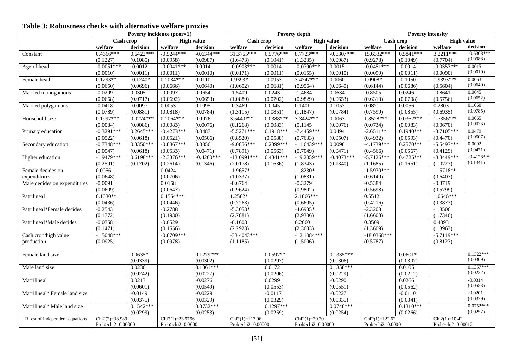### **Table 3: Robustness checks with alternative welfare proxies**

|                                  | Poverty incidence (poor=1) |             |                   | Poverty depth     |                   |                                | <b>Poverty intensity</b> |              |                     |                   |                   |                       |
|----------------------------------|----------------------------|-------------|-------------------|-------------------|-------------------|--------------------------------|--------------------------|--------------|---------------------|-------------------|-------------------|-----------------------|
|                                  | Cash crop                  |             |                   | <b>High value</b> |                   | <b>High value</b><br>Cash crop |                          | Cash crop    |                     | <b>High value</b> |                   |                       |
|                                  | welfare                    | decision    | welfare           | decision          | welfare           | decision                       | welfare                  | decision     | welfare             | decision          | welfare           | decision              |
| Constant                         | 0.4666***                  | $0.6422***$ | $-0.5244***$      | $-0.6344***$      | 31.3765***        | $0.5776***$                    | 8.7723***                | $-0.6307***$ | 15.6332***          | $0.5841***$       | $3.2211***$       | $-0.6308***$          |
|                                  | (0.1227)                   | (0.1085)    | (0.0958)          | (0.0987)          | (1.6473)          | (0.1041)                       | (1.3235)                 | (0.0987)     | (0.9278)            | (0.1049)          | (0.7704)          | (0.0988)              |
| Age of head                      | $-0.0051***$               | $-0.0012$   | $-0.0041***$      | 0.0014            | $-0.0903***$      | $-0.0014$                      | $-0.0700***$             | 0.0015       | $-0.0451***$        | $-0.0014$         | $-0.0353***$      | 0.0015                |
|                                  | (0.0010)                   | (0.0011)    | (0.0011)          | (0.0010)          | (0.0171)          | (0.0011)                       | (0.0155)                 | (0.0010)     | (0.0099)            | (0.0011)          | (0.0090)          | (0.0010)              |
| Female head                      | $0.1293**$                 | $-0.1240*$  | $0.2034***$       | 0.0110            | 1.9393*           | $-0.0953$                      | 3.4747***                | 0.0060       | 1.0908*             | $-0.1050$         | 1.9393***         | 0.0063                |
|                                  | (0.0650)                   | (0.0696)    | (0.0666)          | (0.0640)          | (1.0602)          | (0.0681)                       | (0.9564)                 | (0.0640)     | (0.6144)            | (0.0686)          | (0.5604)          | (0.0640)              |
| Married monogamous               | $-0.0299$                  | 0.0305      | $-0.0097$         | 0.0654            | $-1.5409$         | 0.0243                         | $-1.4684$                | 0.0634       | $-0.8505$           | 0.0246            | $-0.8641$         | 0.0645                |
|                                  | (0.0668)                   | (0.0717)    | (0.0692)          | (0.0653)          | (1.0889)          | (0.0702)                       | (0.9829)                 | (0.0653)     | (0.6310)            | (0.0708)          | (0.5756)          | (0.0652)              |
| Married polygamous               | $-0.0418$                  | $-0.0097$   | 0.0053            | 0.1095            | $-0.3469$         | 0.0045                         | 0.1401                   | 0.1057       | 0.0871              | 0.0056            | 0.2803            | 0.1060                |
|                                  | (0.0789)                   | (0.0881)    | (0.0818)          | (0.0784)          | (1.3115)          | (0.0851)                       | (1.1847)                 | (0.0784)     | (0.7599)            | (0.0855)          | (0.6935)          | (0.0785)              |
| Household size                   | $0.1997***$                | $0.0274***$ | $0.2064***$       | 0.0076            | $3.5440***$       | $0.0388***$                    | 3.3424***                | 0.0063       | 1.8528***           | $0.0362***$       | $1.7356***$       | 0.0065                |
|                                  | (0.0084)                   | (0.0086)    | (0.0083)          | (0.0076)          | (0.1268)          | (0.0083)                       | (0.1145)                 | (0.0076)     | (0.0734)            | (0.0083)          | (0.0670)          | (0.0076)              |
| Primary education                | $-0.3291***$               | $0.2645***$ | $-0.4273***$      | 0.0487            | $-5.5271***$      | $0.1918***$                    | $-7.4459***$             | 0.0494       | $-2.6511**$         | $0.1940***$       | $-3.7105***$      | 0.0479                |
|                                  | (0.0522)                   | (0.0618)    | (0.0521)          | (0.0506)          | (0.8520)          | (0.0588)                       | (0.7633)                 | (0.0507)     | (0.4932)            | (0.0593)          | (0.4470)          | (0.0507)              |
| Secondary education              | $-0.7348***$               | $0.3350***$ | $-0.8867***$      | 0.0056            | $-9.0856***$      | $0.2399***$                    | $-11.6439***$            | 0.0098       | $-4.1739***$        | $0.2570***$       | $-5.5497***$      | 0.0092                |
|                                  | (0.0547)                   | (0.0618)    | (0.0533)          | (0.0471)          | (0.7891)          | (0.0563)                       | (0.7049)                 | (0.0471)     | (0.4566)            | (0.0567)          | (0.4129)          | (0.0471)              |
| Higher education                 | $-1.9479***$               | $0.6198***$ | $-2.3376***$      | $-0.4260***$      | $-13.0991***$     | $0.4341***$                    | $-19.2059***$            | $-0.4073***$ | $-5.7126***$        | $0.4725***$       | $-8.8449***$      | $-0.4128***$          |
|                                  | (0.2591)                   | (0.1702)    | (0.2614)          | (0.1346)          | (2.0178)          | (0.1636)                       | (1.8343)                 | (0.1340)     | (1.1685)            | (0.1651)          | (1.0723)          | (0.1341)              |
| Female decides on                | 0.0056                     |             | 0.0424            |                   | $-1.9657*$        |                                | $-1.8230*$               |              | $-1.5970***$        |                   | $-1.5718**$       |                       |
| expenditures                     | (0.0648)                   |             | (0.0706)          |                   | (1.0337)          |                                | (1.0831)                 |              | (0.6140)            |                   | (0.6407)          |                       |
| Male decides on expenditures     | $-0.0091$                  |             | 0.0168            |                   | $-0.6764$         |                                | $-0.3279$                |              | $-0.5384$           |                   | $-0.3719$         |                       |
|                                  | (0.0609)                   |             | (0.0647)          |                   | (0.9624)          |                                | (0.9802)                 |              | (0.5698)            |                   | (0.5799)          |                       |
| Patrilineal                      | $0.1030**$                 |             | $0.1554***$       |                   | $1.2502*$         |                                | 2.1866***                |              | 0.5512              |                   | $1.0646***$       |                       |
|                                  | (0.0436)                   |             | (0.0446)          |                   | (0.7263)          |                                | (0.6605)                 |              | (0.4216)            |                   | (0.3873)          |                       |
| Patrilineal*Female decides       | $-0.2543$                  |             | $-0.2788$         |                   | $-5.3053*$        |                                | $-4.6935*$               |              | $-2.3208$           |                   | $-1.8506$         |                       |
|                                  | (0.1772)                   |             | (0.1930)          |                   | (2.7881)          |                                | (2.9306)                 |              | (1.6608)            |                   | (1.7346)          |                       |
| Patrilineal*Male decides         | $-0.0758$                  |             | $-0.0529$         |                   | $-0.1603$         |                                | 0.2660                   |              | 0.3509              |                   | 0.4093            |                       |
|                                  | (0.1471)                   |             | (0.1556)          |                   | (2.2923)          |                                | (2.3603)                 |              | (1.3609)            |                   | (1.3963)          |                       |
| Cash crop/high value             | $-1.5048***$               |             | $-0.8709***$      |                   | $-33.4043***$     |                                | $-12.1084***$            |              | $-18.0368***$       |                   | $-5.7119***$      |                       |
| production                       | (0.0925)                   |             | (0.0978)          |                   | (1.1185)          |                                | (1.5006)                 |              | (0.5787)            |                   | (0.8123)          |                       |
|                                  |                            |             |                   |                   |                   |                                |                          |              |                     |                   |                   |                       |
| Female land size                 |                            | $0.0635*$   |                   | $0.1279***$       |                   | $0.0597**$                     |                          | $0.1335***$  |                     | $0.0601*$         |                   | $0.1322***$           |
|                                  |                            | (0.0339)    |                   | (0.0302)          |                   | (0.0297)                       |                          | (0.0306)     |                     | (0.0307)          |                   | (0.0309)              |
| Male land size                   |                            | 0.0236      |                   | $0.1361***$       |                   | 0.0172                         |                          | $0.1358***$  |                     | 0.0105            |                   | $0.1357***$           |
|                                  |                            | (0.0242)    |                   | (0.0227)          |                   | (0.0206)                       |                          | (0.0229)     |                     | (0.0212)          |                   | (0.0232)              |
| Matrilineal                      |                            | 0.0213      |                   | $-0.0276$         |                   | 0.0299                         |                          | $-0.0290$    |                     | 0.0266            |                   | $-0.0314$             |
|                                  |                            | (0.0601)    |                   | (0.0549)          |                   | (0.0553)                       |                          | (0.0551)     |                     | (0.0562)          |                   | (0.0553)              |
| Matrilineal* Female land size    |                            | $-0.0149$   |                   | $-0.0229$         |                   | $-0.0117$                      |                          | $-0.0227$    |                     | $-0.0110$         |                   | $-0.0201$<br>(0.0339) |
|                                  |                            | (0.0375)    |                   | (0.0329)          |                   | (0.0329)                       |                          | (0.0335)     |                     | (0.0341)          |                   |                       |
| Matrilineal* Male land size      |                            | $0.1542***$ |                   | $0.0732***$       |                   | $0.1297***$                    |                          | $0.0748***$  |                     | $0.1310***$       |                   | $0.0752***$           |
|                                  |                            | (0.0299)    |                   | (0.0253)          |                   | (0.0259)                       |                          | (0.0254)     |                     | (0.0266)          |                   | (0.0257)              |
| LR test of independent equations | $Chi2(2)=38.989$           |             | $Chi2(1)=23.9796$ |                   | $Chi2(1)=113.96$  |                                | $Chi2(1)=20.20$          |              | $Chi2(1)=122.62$    |                   | $Chi2(1)=10.42$   |                       |
|                                  | Prob>chi2=0.00000          |             | Prob>chi2=0.0000  |                   | Prob>chi2=0.00000 |                                | Prob>chi2=0.00000        |              | Prob>chi2= $0.0000$ |                   | Prob>chi2=0.00012 |                       |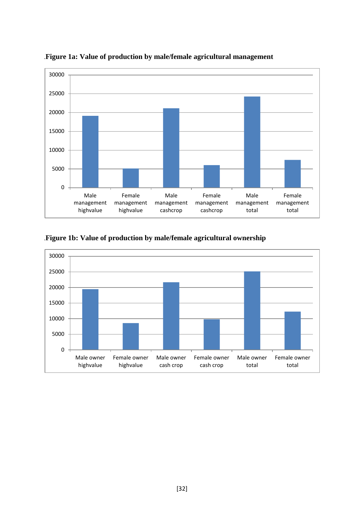

.**Figure 1a: Value of production by male/female agricultural management**

.**Figure 1b: Value of production by male/female agricultural ownership**